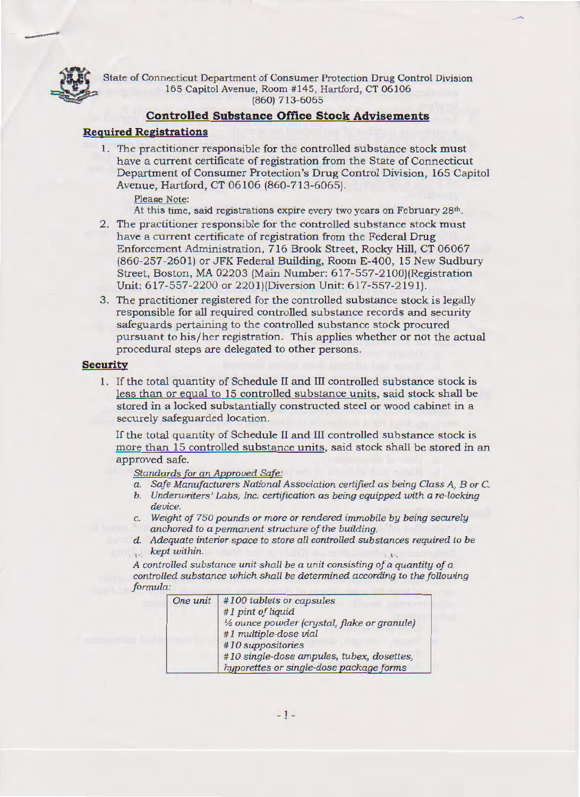

------

State of Connecticut Department of Consumer Protection Drug Control Division 165 Capitol Avenue, Room #145, Hartford, CT 06106 (860) 713-6065

#### **Controlled Substance Office Stock Advisements**

# **Required Registrations**

1. The practitioner responsible for the controlled substance stock must have a current certificate of registration from the State of Connecticut Department of Consumer Protection's Drug Control Division, 165 Capitol Avenue, Hartford, CT 06106 (860-713-6065).

Please Note:

At this time, said registrations expire every two years on February 28<sup>th</sup>.

- 2. The practitioner responsible for the controlled substance stock must have a current certificate of registration from the Federal Drug Enforcement Administration, 716 Brook Street, Rocky Hill, CT 06067 (860-257-2601) or JFK Federal Building, Room E-400, 15 New Sudbury Street, Boston, MA 02203 (Main Number: 617-557-2100)(Registration Unit: 617-557-2200 or 220 !)(Diversion Unit: 617-557-2191).
- 3. The practitioner registered for the controlled substance stock is legally responsible for all required controlled substance records and security safeguards pertaining to the controlled substance stock procured pursuant to his/her registration. This applies whether or not the actual procedural steps are delegated to other persons.

### **Security**

1. If the total quantity of Schedule II and III controlled substance stock is less than or equal to 15 controlled substance units, said stock shall be stored in a locked substantially constructed steel or wood cabinet in a securely safeguarded location.

If the total quantity of Schedule II and III controlled substance stock is more than 15 controlled substance units, said stock shall be stored in an approved safe.

**Standards for an Approved Safe:** 

- *a. Safe Manufacturers National Association certified as being Class A, B or* C.
- *b.* Underwriters' Labs, Inc. certification as being equipped with a re-locking *device.*
- c. *Weight of 750 pounds or more or rendered immobile by being securely anchored to a permanent structure of the building.*
- *d. Adequate interior space to store all controlled substances required to be kept within.*   $\mathbf{1}$  $1.34$

*A controlled substance unit shall be a unit consisting of a quantity of a controlled substance which shall be determined according to the following formula:*  $\overline{0}$   $\overline{0}$   $\overline{1}$   $\overline{1}$   $\overline{2}$   $\overline{2}$   $\overline{3}$   $\overline{2}$   $\overline{3}$   $\overline{4}$   $\overline{2}$   $\overline{3}$   $\overline{4}$   $\overline{2}$   $\overline{3}$   $\overline{2}$   $\overline{4}$   $\overline{2}$   $\overline{3}$   $\overline{2}$   $\overline{4}$   $\overline{2}$   $\overline{3}$   $\$ 

| One unit | #100 tablets or capsules<br>#1 pint of liquid                                        |
|----------|--------------------------------------------------------------------------------------|
|          | 1/2 ounce powder (crystal, flake or granule)<br>#1 multiple-dose vial                |
|          | #10 suppositories                                                                    |
|          | #10 single-dose ampules, tubex, dosettes,<br>hyporettes or single-dose package forms |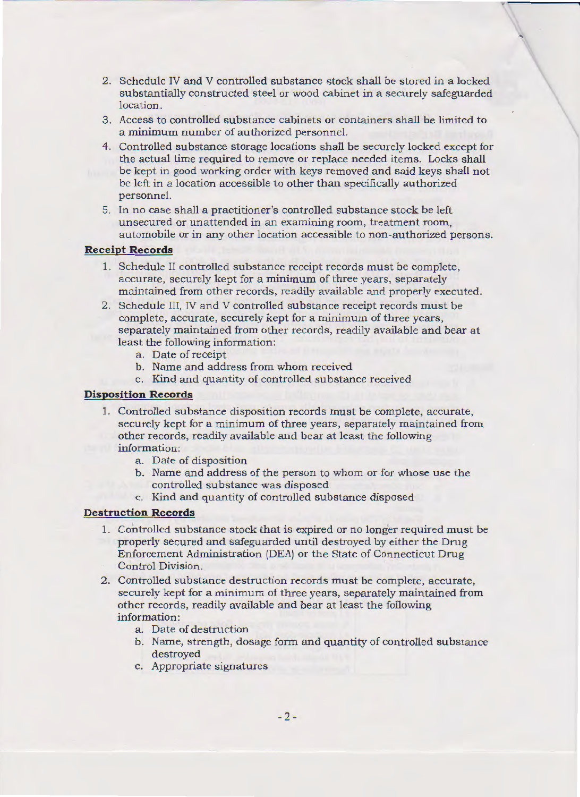2. Schedule IV and V controlled substance stock shall be stored in a locked substantially constructed steel or wood cabinet in a securely safeguarded location.

'

- 3. Access to controlled substance cabinets or containers shall be limited to a minimum number of authorized personnel.
- 4. Controlled substance storage locations shall be securely locked except for the actual time required to remove or replace needed items. Locks shall be kept in good working order with keys removed and said keys shall not be left in a location accessible to other than specifically authorized personnel.
- 5. In no case shall a practitioner's controlled substance stock be left unsecured or unattended in an examining room, treatment room, automobile or in any other location accessible to non-authorized persons.

#### **Receipt Records**

- 1. Schedule II controlled substance receipt records must be complete, accurate, securely kept for a minimum of three years, separately maintained from other records, readily available and properly executed.
- 2. Schedule III, IV and V controlled substance receipt records must be complete, accurate, securely kept for a minimum of three years, separately maintained from other records, readily available and bear at least the following information:
	- a. Date of receipt
	- b. Name and address from whom received
	- c. Kind and quantity of controlled substance received

# **Disposition Records**

- 1. Controlled substance disposition records must be complete, accurate, securely kept for a minimum of three years, separately maintained from other records, readily available and bear at least the following information:
	- a. Date of disposition
	- b. Name and address of the person to whom or for whose use the controlled substance was disposed
	- c. Kind and quantity of controlled substance disposed

# **Destruction Records**

- 1. Controlled substance stock that is expired or no longer required must be properly secured and safeguarded until destroyed by either the Drug Enforcement Administration (DEA) or the State of Connecticut Drug Control Division.
- 2. Controlled substance destruction records must be complete, accurate, securely kept for a minimum of three years, separately maintained from other records, readily available and bear at least the following information:
	- a. Date of destruction
	- b. Name, strength, dosage form and quantity of controlled substance destroyed
	- c. Appropriate signatures